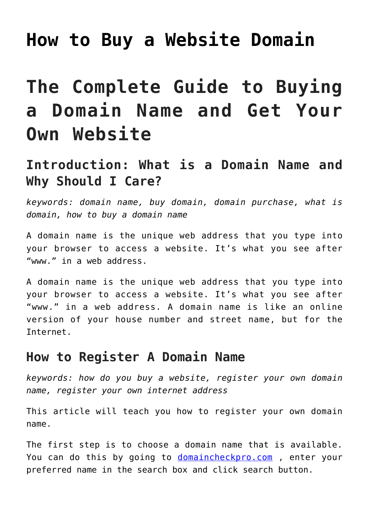## **[How to Buy a Website Domain](https://www.earnmoneyke.com/buy-domain-name/how-to-buy-a-website-domain/)**

# **The Complete Guide to Buying a Domain Name and Get Your Own Website**

### **Introduction: What is a Domain Name and Why Should I Care?**

*keywords: domain name, buy domain, domain purchase, what is domain, how to buy a domain name*

A domain name is the unique web address that you type into your browser to access a website. It's what you see after "www." in a web address.

A domain name is the unique web address that you type into your browser to access a website. It's what you see after "www." in a web address. A domain name is like an online version of your house number and street name, but for the Internet.

### **How to Register A Domain Name**

*keywords: how do you buy a website, register your own domain name, register your own internet address*

This article will teach you how to register your own domain name.

The first step is to choose a domain name that is available. You can do this by going to [domaincheckpro.com](https://domaincheckpro.com/) , enter your preferred name in the search box and click search button.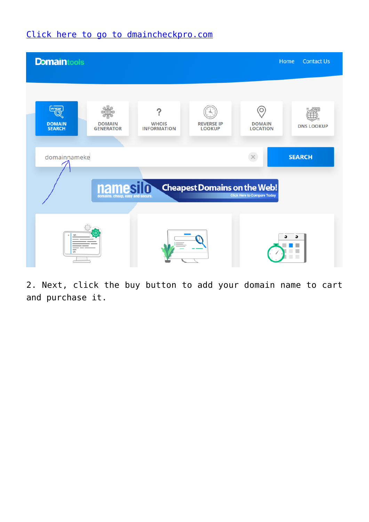#### [Click here to go to dmaincheckpro.com](https://domaincheckpro.com/)



2. Next, click the buy button to add your domain name to cart and purchase it.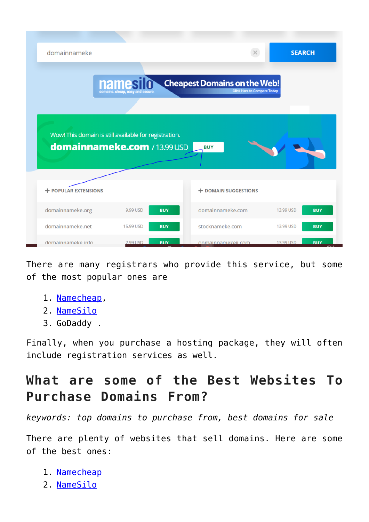| domainnameke                                          |              |            |                                                                           |           | <b>SEARCH</b> |
|-------------------------------------------------------|--------------|------------|---------------------------------------------------------------------------|-----------|---------------|
|                                                       | <b>names</b> |            | <b>Cheapest Domains on the Web!</b><br><b>Click Here to Compare Today</b> |           |               |
| Wow! This domain is still available for registration. |              |            |                                                                           |           |               |
| domainnameke.com / 13.99 USD                          |              |            | <b>BUY</b>                                                                |           |               |
| <b>+ POPULAR EXTENSIONS</b>                           |              |            | <b>+ DOMAIN SUGGESTIONS</b>                                               |           |               |
| domainnameke.org                                      | 9.99 USD     | <b>BUY</b> | domainnameke.com                                                          | 13.99 USD | <b>BUY</b>    |
| domainnameke.net                                      | 15.99 USD    | <b>BUY</b> | stocknameke.com                                                           | 13.99 USD | <b>BUY</b>    |

There are many registrars who provide this service, but some of the most popular ones are

- 1. [Namecheap](https://namecheap.pxf.io/ORLYon),
- 2. [NameSilo](https://www.namesilo.com/register.php?rid=a64c814vv)
- 3. GoDaddy .

Finally, when you purchase a hosting package, they will often include registration services as well.

### **What are some of the Best Websites To Purchase Domains From?**

*keywords: top domains to purchase from, best domains for sale*

There are plenty of websites that sell domains. Here are some of the best ones:

- 1. [Namecheap](https://namecheap.pxf.io/ORLYon)
- 2. [NameSilo](https://www.namesilo.com/register.php?rid=a64c814vv)